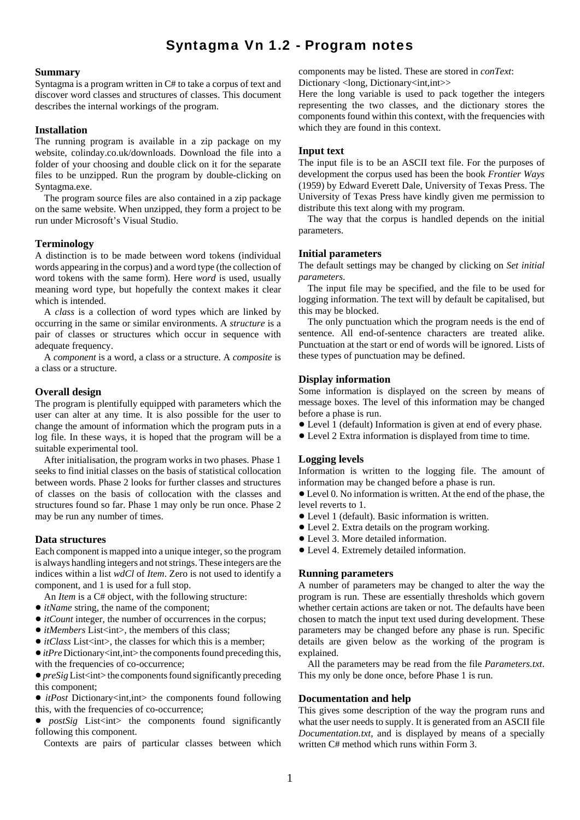# Syntagma Vn 1.2 - Program notes

#### **Summary**

Syntagma is a program written in C# to take a corpus of text and discover word classes and structures of classes. This document describes the internal workings of the program.

## **Installation**

The running program is available in a zip package on my website, colinday.co.uk/downloads. Download the file into a folder of your choosing and double click on it for the separate files to be unzipped. Run the program by double-clicking on Syntagma.exe.

The program source files are also contained in a zip package on the same website. When unzipped, they form a project to be run under Microsoft's Visual Studio.

## **Terminology**

A distinction is to be made between word tokens (individual words appearing in the corpus) and a word type (the collection of word tokens with the same form). Here *word* is used, usually meaning word type, but hopefully the context makes it clear which is intended.

A *class* is a collection of word types which are linked by occurring in the same or similar environments. A *structure* is a pair of classes or structures which occur in sequence with adequate frequency.

A *component* is a word, a class or a structure. A *composite* is a class or a structure.

## **Overall design**

The program is plentifully equipped with parameters which the user can alter at any time. It is also possible for the user to change the amount of information which the program puts in a log file. In these ways, it is hoped that the program will be a suitable experimental tool.

After initialisation, the program works in two phases. Phase 1 seeks to find initial classes on the basis of statistical collocation between words. Phase 2 looks for further classes and structures of classes on the basis of collocation with the classes and structures found so far. Phase 1 may only be run once. Phase 2 may be run any number of times.

## **Data structures**

Each component is mapped into a unique integer, so the program is always handling integers and not strings. These integers are the indices within a list *wdCl* of *Item*. Zero is not used to identify a component, and 1 is used for a full stop.

An *Item* is a C# object, with the following structure:

- ! *itName* string, the name of the component;
- *itCount* integer, the number of occurrences in the corpus;
- *itMembers* List<int>, the members of this class;
- *itClass* List<int>, the classes for which this is a member;

• *itPre* Dictionary<int,int> the components found preceding this, with the frequencies of co-occurrence;

 $\bullet$  *preSig* List<int>the components found significantly preceding this component;

• *itPost* Dictionary<int,int> the components found following this, with the frequencies of co-occurrence;

• *postSig* List<int> the components found significantly following this component.

Contexts are pairs of particular classes between which

components may be listed. These are stored in *conText*: Dictionary <long, Dictionary <int,int>>

Here the long variable is used to pack together the integers representing the two classes, and the dictionary stores the components found within this context, with the frequencies with which they are found in this context.

#### **Input text**

The input file is to be an ASCII text file. For the purposes of development the corpus used has been the book *Frontier Ways* (1959) by Edward Everett Dale, University of Texas Press. The University of Texas Press have kindly given me permission to distribute this text along with my program.

The way that the corpus is handled depends on the initial parameters.

## **Initial parameters**

The default settings may be changed by clicking on *Set initial parameters*.

The input file may be specified, and the file to be used for logging information. The text will by default be capitalised, but this may be blocked.

The only punctuation which the program needs is the end of sentence. All end-of-sentence characters are treated alike. Punctuation at the start or end of words will be ignored. Lists of these types of punctuation may be defined.

## **Display information**

Some information is displayed on the screen by means of message boxes. The level of this information may be changed before a phase is run.

- ! Level 1 (default) Information is given at end of every phase.
- ! Level 2 Extra information is displayed from time to time.

#### **Logging levels**

Information is written to the logging file. The amount of information may be changed before a phase is run.

! Level 0. No information is written. At the end of the phase, the level reverts to 1.

- ! Level 1 (default). Basic information is written.
- Level 2. Extra details on the program working.
- Level 3. More detailed information.
- $\bullet$  Level 4. Extremely detailed information.

#### **Running parameters**

A number of parameters may be changed to alter the way the program is run. These are essentially thresholds which govern whether certain actions are taken or not. The defaults have been chosen to match the input text used during development. These parameters may be changed before any phase is run. Specific details are given below as the working of the program is explained.

All the parameters may be read from the file *Parameters.txt*. This my only be done once, before Phase 1 is run.

## **Documentation and help**

This gives some description of the way the program runs and what the user needs to supply. It is generated from an ASCII file *Documentation.txt*, and is displayed by means of a specially written C# method which runs within Form 3.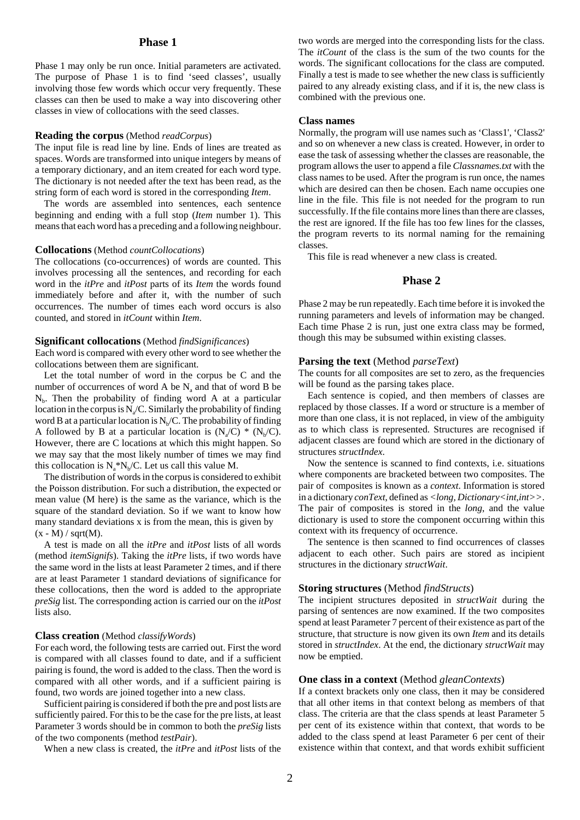## **Phase 1**

Phase 1 may only be run once. Initial parameters are activated. The purpose of Phase 1 is to find 'seed classes', usually involving those few words which occur very frequently. These classes can then be used to make a way into discovering other classes in view of collocations with the seed classes.

#### **Reading the corpus** (Method *readCorpus*)

The input file is read line by line. Ends of lines are treated as spaces. Words are transformed into unique integers by means of a temporary dictionary, and an item created for each word type. The dictionary is not needed after the text has been read, as the string form of each word is stored in the corresponding *Item*.

The words are assembled into sentences, each sentence beginning and ending with a full stop (*Item* number 1). This means that each word has a preceding and a following neighbour.

#### **Collocations** (Method *countCollocations*)

The collocations (co-occurrences) of words are counted. This involves processing all the sentences, and recording for each word in the *itPre* and *itPost* parts of its *Item* the words found immediately before and after it, with the number of such occurrences. The number of times each word occurs is also counted, and stored in *itCount* within *Item*.

#### **Significant collocations** (Method *findSignificances*)

Each word is compared with every other word to see whether the collocations between them are significant.

Let the total number of word in the corpus be C and the number of occurrences of word  $A$  be  $N_a$  and that of word  $B$  be  $N<sub>b</sub>$ . Then the probability of finding word A at a particular location in the corpus is  $N_a/C$ . Similarly the probability of finding word B at a particular location is  $N_b/C$ . The probability of finding A followed by B at a particular location is  $(N_a/C)$  \*  $(N_b/C)$ . However, there are C locations at which this might happen. So we may say that the most likely number of times we may find this collocation is  $N_a * N_b/C$ . Let us call this value M.

The distribution of words in the corpus is considered to exhibit the Poisson distribution. For such a distribution, the expected or mean value (M here) is the same as the variance, which is the square of the standard deviation. So if we want to know how many standard deviations x is from the mean, this is given by  $(x - M) / sqrt(M)$ .

A test is made on all the *itPre* and *itPost* lists of all words (method *itemSignifs*). Taking the *itPre* lists, if two words have the same word in the lists at least Parameter 2 times, and if there are at least Parameter 1 standard deviations of significance for these collocations, then the word is added to the appropriate *preSig* list. The corresponding action is carried our on the *itPost* lists also.

#### **Class creation** (Method *classifyWords*)

For each word, the following tests are carried out. First the word is compared with all classes found to date, and if a sufficient pairing is found, the word is added to the class. Then the word is compared with all other words, and if a sufficient pairing is found, two words are joined together into a new class.

Sufficient pairing is considered if both the pre and post lists are sufficiently paired. For this to be the case for the pre lists, at least Parameter 3 words should be in common to both the *preSig* lists of the two components (method *testPair*).

When a new class is created, the *itPre* and *itPost* lists of the

two words are merged into the corresponding lists for the class. The *itCount* of the class is the sum of the two counts for the words. The significant collocations for the class are computed. Finally a test is made to see whether the new class is sufficiently paired to any already existing class, and if it is, the new class is combined with the previous one.

#### **Class names**

Normally, the program will use names such as 'Class1', 'Class2' and so on whenever a new class is created. However, in order to ease the task of assessing whether the classes are reasonable, the program allows the user to append a file *Classnames.txt* with the class names to be used. After the program is run once, the names which are desired can then be chosen. Each name occupies one line in the file. This file is not needed for the program to run successfully. If the file contains more lines than there are classes, the rest are ignored. If the file has too few lines for the classes, the program reverts to its normal naming for the remaining classes.

This file is read whenever a new class is created.

# **Phase 2**

Phase 2 may be run repeatedly. Each time before it is invoked the running parameters and levels of information may be changed. Each time Phase 2 is run, just one extra class may be formed, though this may be subsumed within existing classes.

#### **Parsing the text** (Method *parseText*)

The counts for all composites are set to zero, as the frequencies will be found as the parsing takes place.

Each sentence is copied, and then members of classes are replaced by those classes. If a word or structure is a member of more than one class, it is not replaced, in view of the ambiguity as to which class is represented. Structures are recognised if adjacent classes are found which are stored in the dictionary of structures *structIndex*.

Now the sentence is scanned to find contexts, i.e. situations where components are bracketed between two composites. The pair of composites is known as a *context*. Information is stored in a dictionary *conText*, defined as *<long, Dictionary<int,int>>*. The pair of composites is stored in the *long*, and the value dictionary is used to store the component occurring within this context with its frequency of occurrence.

The sentence is then scanned to find occurrences of classes adjacent to each other. Such pairs are stored as incipient structures in the dictionary *structWait*.

#### **Storing structures** (Method *findStructs*)

The incipient structures deposited in *structWait* during the parsing of sentences are now examined. If the two composites spend at least Parameter 7 percent of their existence as part of the structure, that structure is now given its own *Item* and its details stored in *structIndex*. At the end, the dictionary *structWait* may now be emptied.

#### **One class in a context** (Method *gleanContexts*)

If a context brackets only one class, then it may be considered that all other items in that context belong as members of that class. The criteria are that the class spends at least Parameter 5 per cent of its existence within that context, that words to be added to the class spend at least Parameter 6 per cent of their existence within that context, and that words exhibit sufficient